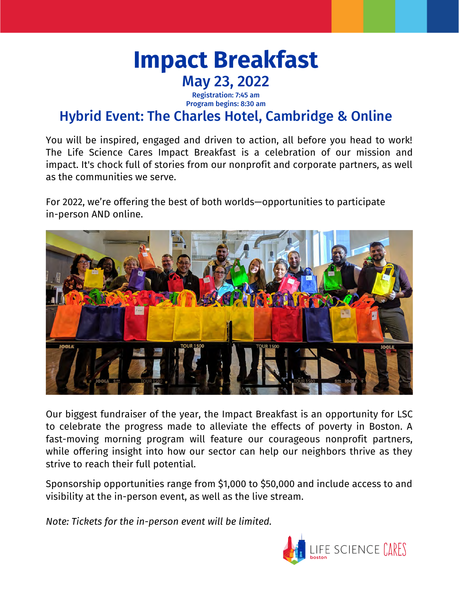

Registration: 7:45 am Program begins: 8:30 am

## Hybrid Event: The Charles Hotel, Cambridge & Online

You will be inspired, engaged and driven to action, all before you head to work! The Life Science Cares Impact Breakfast is a celebration of our mission and impact. It's chock full of stories from our nonprofit and corporate partners, as well as the communities we serve.

For 2022, we're offering the best of both worlds—opportunities to participate in-person AND online.



Our biggest fundraiser of the year, the Impact Breakfast is an opportunity for LSC to celebrate the progress made to alleviate the effects of poverty in Boston. A fast-moving morning program will feature our courageous nonprofit partners, while offering insight into how our sector can help our neighbors thrive as they strive to reach their full potential.

Sponsorship opportunities range from \$1,000 to \$50,000 and include access to and visibility at the in-person event, as well as the live stream.

*Note: Tickets for the in-person event will be limited.*